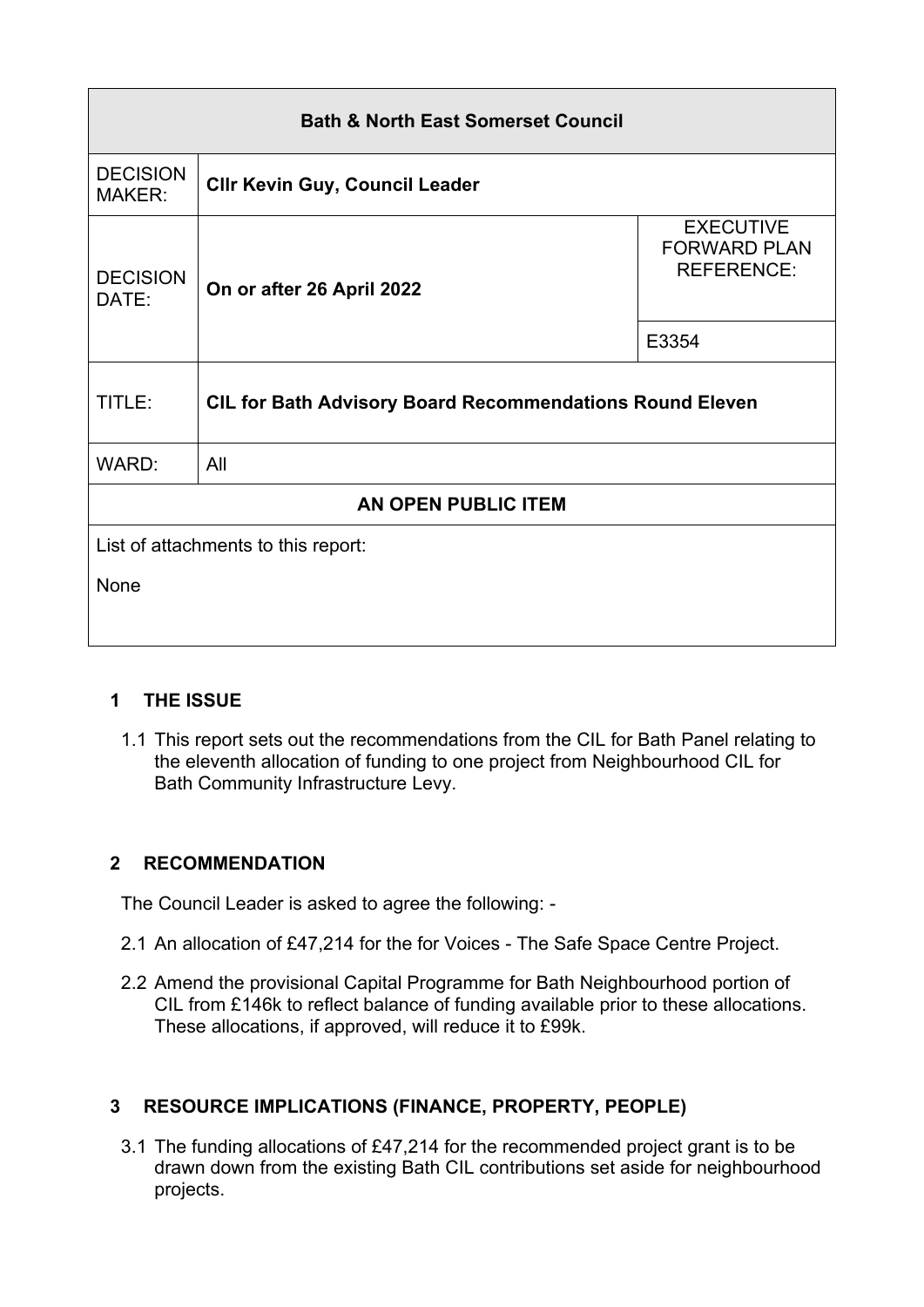| <b>Bath &amp; North East Somerset Council</b> |                                                                 |                                                              |  |
|-----------------------------------------------|-----------------------------------------------------------------|--------------------------------------------------------------|--|
| <b>DECISION</b><br><b>MAKER:</b>              | <b>CIIr Kevin Guy, Council Leader</b>                           |                                                              |  |
| <b>DECISION</b><br>DATE:                      | On or after 26 April 2022                                       | <b>EXECUTIVE</b><br><b>FORWARD PLAN</b><br><b>REFERENCE:</b> |  |
|                                               |                                                                 | E3354                                                        |  |
| TITLE:                                        | <b>CIL for Bath Advisory Board Recommendations Round Eleven</b> |                                                              |  |
| WARD:                                         | All                                                             |                                                              |  |
| <b>AN OPEN PUBLIC ITEM</b>                    |                                                                 |                                                              |  |
| List of attachments to this report:           |                                                                 |                                                              |  |
| None                                          |                                                                 |                                                              |  |
|                                               |                                                                 |                                                              |  |

## **1 THE ISSUE**

1.1 This report sets out the recommendations from the CIL for Bath Panel relating to the eleventh allocation of funding to one project from Neighbourhood CIL for Bath Community Infrastructure Levy.

## **2 RECOMMENDATION**

The Council Leader is asked to agree the following: -

- 2.1 An allocation of £47,214 for the for Voices The Safe Space Centre Project.
- 2.2 Amend the provisional Capital Programme for Bath Neighbourhood portion of CIL from £146k to reflect balance of funding available prior to these allocations. These allocations, if approved, will reduce it to £99k.

# **3 RESOURCE IMPLICATIONS (FINANCE, PROPERTY, PEOPLE)**

3.1 The funding allocations of £47,214 for the recommended project grant is to be drawn down from the existing Bath CIL contributions set aside for neighbourhood projects.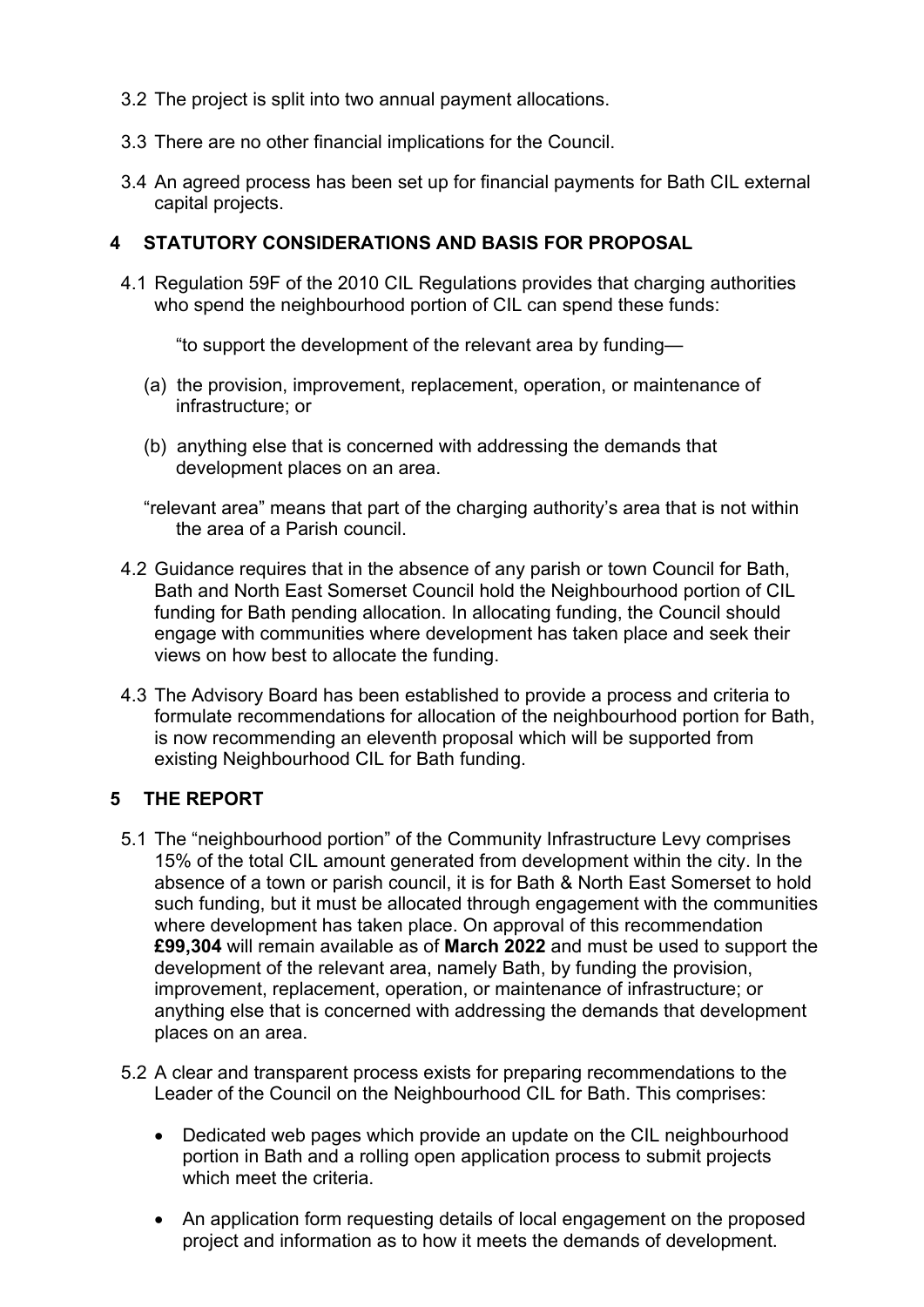- 3.2 The project is split into two annual payment allocations.
- 3.3 There are no other financial implications for the Council.
- 3.4 An agreed process has been set up for financial payments for Bath CIL external capital projects.

### **4 STATUTORY CONSIDERATIONS AND BASIS FOR PROPOSAL**

4.1 Regulation 59F of the 2010 CIL Regulations provides that charging authorities who spend the neighbourhood portion of CIL can spend these funds:

"to support the development of the relevant area by funding—

- (a) the provision, improvement, replacement, operation, or maintenance of infrastructure; or
- (b) anything else that is concerned with addressing the demands that development places on an area.

"relevant area" means that part of the charging authority's area that is not within the area of a Parish council.

- 4.2 Guidance requires that in the absence of any parish or town Council for Bath, Bath and North East Somerset Council hold the Neighbourhood portion of CIL funding for Bath pending allocation. In allocating funding, the Council should engage with communities where development has taken place and seek their views on how best to allocate the funding.
- 4.3 The Advisory Board has been established to provide a process and criteria to formulate recommendations for allocation of the neighbourhood portion for Bath, is now recommending an eleventh proposal which will be supported from existing Neighbourhood CIL for Bath funding.

## **5 THE REPORT**

- 5.1 The "neighbourhood portion" of the Community Infrastructure Levy comprises 15% of the total CIL amount generated from development within the city. In the absence of a town or parish council, it is for Bath & North East Somerset to hold such funding, but it must be allocated through engagement with the communities where development has taken place. On approval of this recommendation **£99,304** will remain available as of **March 2022** and must be used to support the development of the relevant area, namely Bath, by funding the provision, improvement, replacement, operation, or maintenance of infrastructure; or anything else that is concerned with addressing the demands that development places on an area.
- 5.2 A clear and transparent process exists for preparing recommendations to the Leader of the Council on the Neighbourhood CIL for Bath. This comprises:
	- Dedicated web pages which provide an update on the CIL neighbourhood portion in Bath and a rolling open application process to submit projects which meet the criteria.
	- An application form requesting details of local engagement on the proposed project and information as to how it meets the demands of development.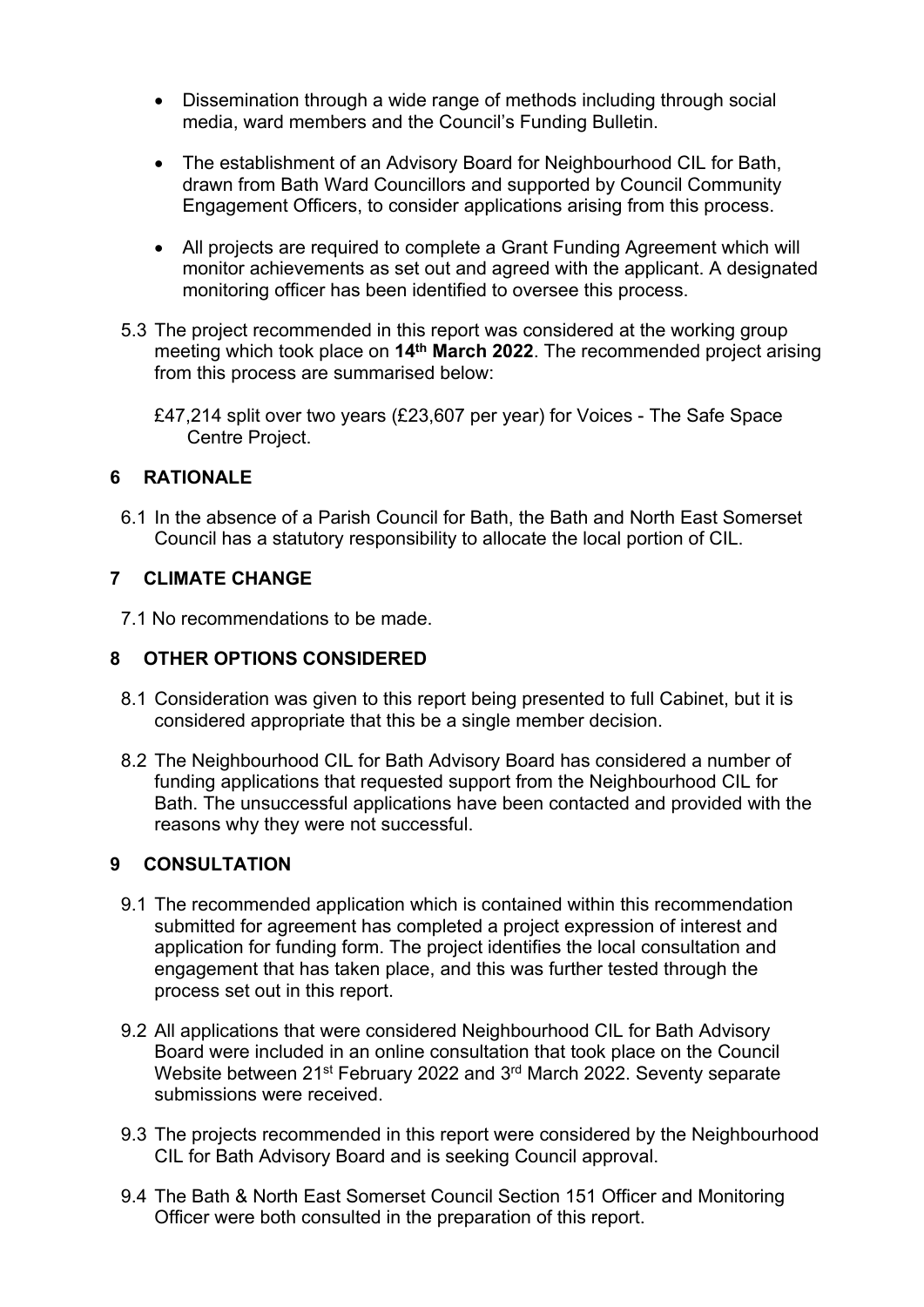- Dissemination through a wide range of methods including through social media, ward members and the Council's Funding Bulletin.
- The establishment of an Advisory Board for Neighbourhood CIL for Bath, drawn from Bath Ward Councillors and supported by Council Community Engagement Officers, to consider applications arising from this process.
- All projects are required to complete a Grant Funding Agreement which will monitor achievements as set out and agreed with the applicant. A designated monitoring officer has been identified to oversee this process.
- 5.3 The project recommended in this report was considered at the working group meeting which took place on **14th March 2022**. The recommended project arising from this process are summarised below:
	- £47,214 split over two years (£23,607 per year) for Voices The Safe Space Centre Project.

## **6 RATIONALE**

6.1 In the absence of a Parish Council for Bath, the Bath and North East Somerset Council has a statutory responsibility to allocate the local portion of CIL.

#### **7 CLIMATE CHANGE**

7.1 No recommendations to be made.

## **8 OTHER OPTIONS CONSIDERED**

- 8.1 Consideration was given to this report being presented to full Cabinet, but it is considered appropriate that this be a single member decision.
- 8.2 The Neighbourhood CIL for Bath Advisory Board has considered a number of funding applications that requested support from the Neighbourhood CIL for Bath. The unsuccessful applications have been contacted and provided with the reasons why they were not successful.

## **9 CONSULTATION**

- 9.1 The recommended application which is contained within this recommendation submitted for agreement has completed a project expression of interest and application for funding form. The project identifies the local consultation and engagement that has taken place, and this was further tested through the process set out in this report.
- 9.2 All applications that were considered Neighbourhood CIL for Bath Advisory Board were included in an online consultation that took place on the Council Website between 21<sup>st</sup> February 2022 and 3<sup>rd</sup> March 2022. Seventy separate submissions were received.
- 9.3 The projects recommended in this report were considered by the Neighbourhood CIL for Bath Advisory Board and is seeking Council approval.
- 9.4 The Bath & North East Somerset Council Section 151 Officer and Monitoring Officer were both consulted in the preparation of this report.